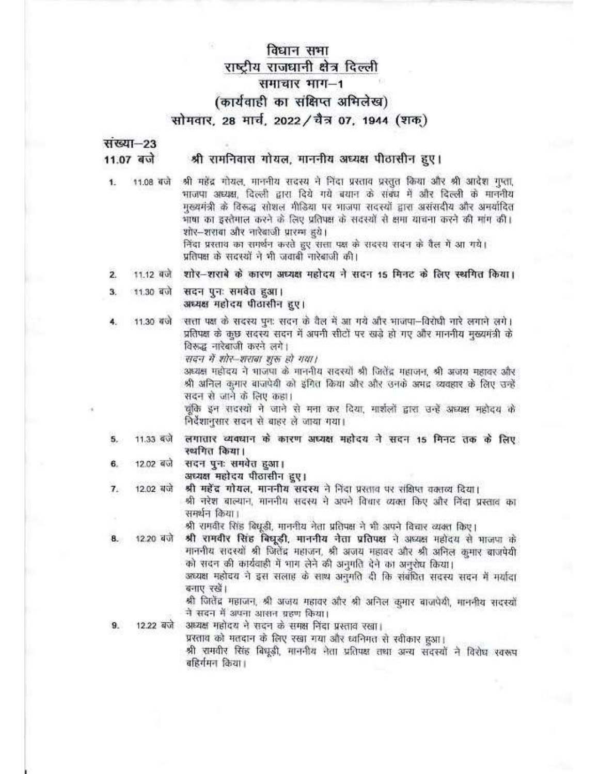## विधान सभा राष्ट्रीय राजधानी क्षेत्र दिल्ली समाचार भाग-1 (कार्यवाही का संक्षिप्त अभिलेख) सोमवार, 28 मार्च, 2022 / चैत्र 07, 1944 (शक)

संख्या-23 11.07 बजे

#### श्री रामनिवास गोयल, माननीय अध्यक्ष पीठासीन हुए।

1. 11.08 बजे

श्री महेंद्र गोयल, माननीय सदस्य ने निंदा प्रस्ताव प्रस्तुत किया और श्री आदेश गुप्ता, भाजपा अध्यक्ष, दिल्ली द्वारा दिये गये बयान के संबंध में और दिल्ली के माननीय मुख्यमंत्री के विरूद्ध सोशल मीडिया पर भाजपा सदस्यों द्वारा असंसदीय और अनयाँदित भाषा का इस्तेमाल करने के लिए प्रतिपक्ष के सदस्यों से क्षमा याचना करने की मांग की। शोर-शराबा और नारेबाजी प्रारम्भ हरे। निंदा प्रस्ताव का समर्थन करते हुए सत्ता पक्ष के सदस्य सदन के वैल में आ गये। प्रतिपक्ष के सदस्यों ने भी जवाबी नारेबाजी की।

- शोर-शराबे के कारण अध्यक्ष महोदय ने सदन 15 मिनट के लिए स्थगित किया। 11.12 बजे  $\overline{2}$
- सदन पुनः समवेत हुआ। 11.30 बजे 3. अध्यक्ष महोदय पीठासीन हुए।
- सत्ता पक्ष के सदस्य पुनः सदन के वैल में आ गये और भाजपा-विरोधी नारे लगाने लगे। 11.30 बजे प्रतिपक्ष के कुछ सदस्य सदन में अपनी सीटों पर खड़े हो गए और माननीय मुख्यमंत्री के विरूद्ध नारेबाजी करने लगे।

सदन में शोर-शराबा शरू हो गया।

अध्यक्ष महोदय ने भाजपा के माननीय सदस्यों श्री जितेंद्र महाजन, श्री अजय महावर और श्री अनिल कुमार बाजपेयी को इंगित किया और और उनके अमद्र व्यवहार के लिए उन्हें सदन से जाने के लिए कहा।

चुंकि इन सदस्यों ने जाने से मना कर दिया, मार्शलों द्वारा उन्हें अध्यक्ष महोदय के निर्देशानुसार सदन से बाहर ले जाया गया।

- 11.33 बजे लगातार व्यवधान के कारण अध्यक्ष महोदय ने सदन 15 मिनट तक के लिए 5. स्थगित किया।
- सदन पुनः समवेत हुआ। 12.02 बजे 6. अध्यक्ष महोदय पीठासीन हुए।
- 12.02 बजे श्री महेंद्र गोयल, माननीय सदस्य ने निंदा प्रस्ताव पर संक्षिप्त वक्तव्य दिया।  $7.$ श्री नरेश बाल्यान, माननीय सदस्य ने अपने विधार व्यक्त किए और निंदा प्रस्ताव का समर्थन किया।

श्री रामवीर सिंह बिधूड़ी, माननीय नेता प्रतिपक्ष ने भी अपने विचार व्यक्त किए।

12.20 बजे 8.

 $\mathbf{Q}$ 

श्री रामवीर सिंह बिघूडी, माननीय नेता प्रतिपक्ष ने अध्यक्ष महोदय से भाजपा के माननीय सदस्यों श्री जितेंद्र महाजन, श्री अजय महावर और श्री अनिल कुमार बाजपेयी को सदन की कार्यवाही में भाग लेने की अनुमति देने का अनुरोध किया।

अध्यक्ष महोदय ने इस सलाह के साथ अनुमति दी कि संबंधित सदस्य सदन में मर्यादा बनाए रखें।

श्री जितेंद्र महाजन, श्री अजय महावर और श्री अनिल कुमार बाजपेयी, माननीय सदस्यों ने सदन में अपना आसन ग्रहण किया।

अध्यक्ष महोदय ने सदन के समक्ष निंदा प्रस्ताव रखा। 12.22 बजे

प्रस्ताव को मतदान के लिए रखा गया और ध्वनिमत से स्वीकार हुआ।

श्री रामवीर सिंह बिधूडी, माननीय नेता प्रतिपक्ष तथा अन्य सदस्यों ने विरोध स्वरूप बहिर्गमन किया।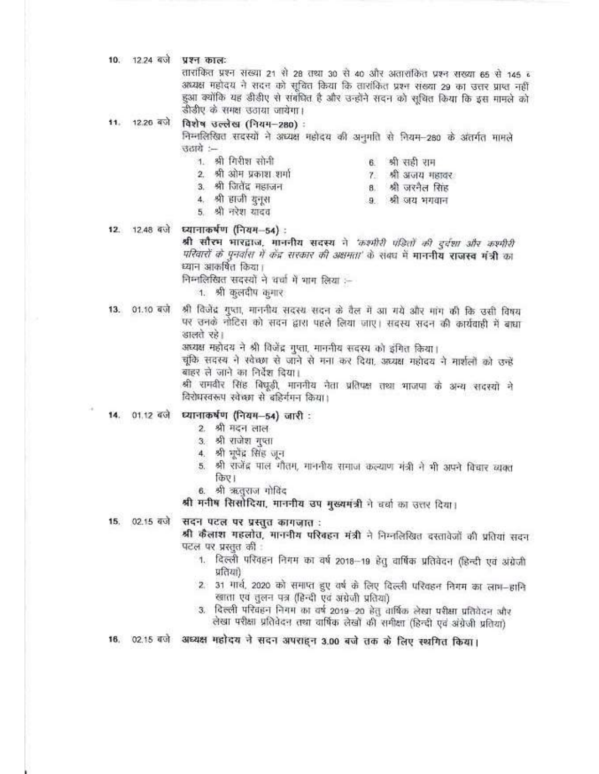10. 12.24 बजे प्रश्न काल:

तारांकित प्रश्न संख्या 21 से 28 तथा 30 से 40 और अतारांकित प्रश्न संख्या 65 से 145 व अध्यक्ष महोदय ने सदन को सूचित किया कि तारांकित प्रश्न संख्या 29 का उत्तर प्राप्त नहीं हुआ क्योंकि यह डीडीए से संबंधित है और उन्होंने सदन को सूथित किया कि इस मामले को डीडीए के समक्ष उठाया जायेगा।

11. 12.26 बजे विशेष उल्लेख (नियम-280) :

> निम्नलिखित सदस्यों ने अध्यक्ष महोदय की अनुमति से नियम-280 के अंतर्गत मामले उठाये :-

1. श्री गिरीश सोनी

6. श्री सही राम 7. श्री अजय महावर

8. श्री जरनैल सिंह

9. श्री जय भगवान

- 2. श्री ओम प्रकाश शर्मा
- 3. श्री जितेंद्र महाजन
- 4. श्री हाजी युनुस
- 5. श्री नरेश यादव
- 12. 12.48 बजे ध्यानाकर्षण (नियम-54) :

श्री सौरभ भारद्वाज, माननीय सदस्य ने 'कश्मीरी पंडितों की दुर्दशा और कश्मीरी परिवारों के पुनर्वास में केंद्र सरकार की अक्षमता' के संबंध में माननीय राजस्व मंत्री का ध्यान आकर्षित किया।

निम्नलिखित सदस्यों ने चर्चा में माग लिया :-

1. श्री कुलदीप कृगार

13. 01.10 बजे श्री विजेंद्र गुप्ता, माननीय सदस्य सदन के वैल में आ गये और मांग की कि उसी विषय पर उनके नोटिस को सदन द्वारा पहले लिया जाए। सदस्य सदन की कार्यवाही में बाधा डालते रहे।

अध्यक्ष महोदय ने श्री विजेंद्र गुप्ता, माननीय सदस्य को इंगित किया।

चुंकि सदस्य ने स्वेच्छा से जाने से मना कर दिया, अध्यक्ष महोदय ने मार्शलों को उन्हें बाहर ले जाने का निर्देश दिया।

श्री रामवीर सिंह बिघूडी, माननीय नेता प्रतिपक्ष तथा भाजपा के अन्य सदस्यों ने विरोधस्वरूप स्वेच्छा से बहिर्गमन किया।

- 14. 01.12 बजे ध्यानाकर्षण (नियम-54) जारी :
	- 2. श्री मदन लाल
	- 3. श्री राजेश गुप्ता
	- 4. श्री मुपेंद्र सिंह जून
	- 5. श्री राजेंद्र पाल गौतम, माननीय समाज कल्याण मंत्री ने भी अपने विचार व्यक्त किए।
	- 6. श्री ऋतुराज गोविंद

श्री मनीष सिसोदिया, माननीय उप मुख्यमंत्री ने चर्चा का उत्तर दिया।

सदन पटल पर प्रस्तुत कागज़ात: 15. 02.15 बजे

श्री कैलाश गहलोत, माननीय परिवहन मंत्री ने निम्नलिखित दस्तावेजों की प्रतियां सदन पटल पर प्रस्तुत की

- 1. दिल्ली परिवहन निगम का वर्ष 2018-19 हेतु वार्षिक प्रतिबेदन (हिन्दी एवं अंग्रेजी प्रतियां)
- 2. 31 गार्च, 2020 को समाप्त हुए वर्ष के लिए दिल्ली परिवहन निगम का लाग-हानि खाता एवं तुलन पत्र (हिन्दी एवं अंग्रेजी प्रतिया)
- 3. दिल्ली परिवहन निगम का वर्ष 2019-20 हेतु वार्षिक लेखा परीक्षा प्रतिवेदन और लेखा परीक्षा प्रतिवेदन तथा वार्षिक लेखों की समीक्षा (हिन्दी एवं अंग्रेजी प्रतिया)
- 16. 02.15 बजे अध्यक्ष महोदय ने सदन अपराहन 3.00 बजे तक के लिए स्थगित किया।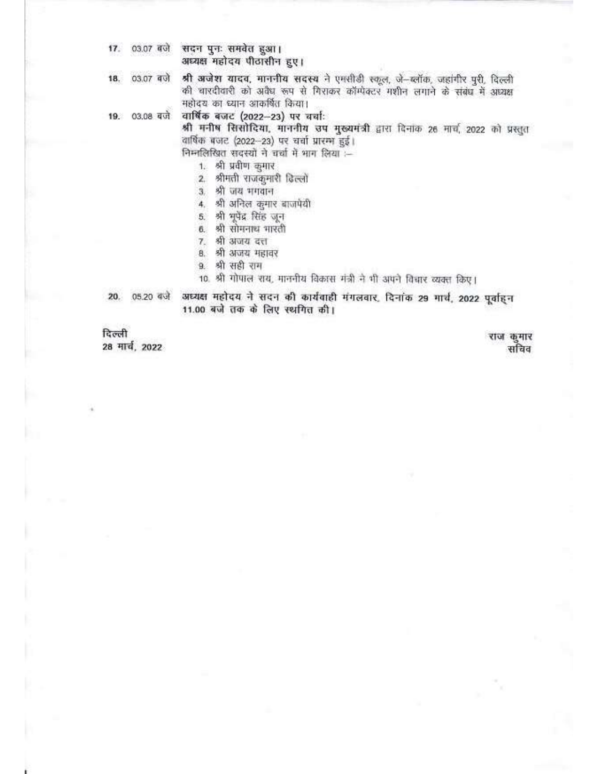17. 03.07 बजे सदन पुनः समवेत हुआ। अध्यक्ष महोदय पीठासीन हुए।

श्री अजेश यादव, माननीय सदस्य ने एमसीडी स्कूल, जे-ब्लॉक, जहांगीर पूरी, दिल्ली 18. 03.07 बजे की चारदीवारी को अवैध रूप से गिराकर कॉम्पेक्टर मशीन लगाने के संबंध में अध्यक्ष महोदय का ध्यान आकर्षित किया।

वार्षिक बजट (2022-23) पर चर्चाः 19. 03.08 बजे

श्री मनीष सिसोदिया, माननीय उप मुख्यमंत्री द्वारा दिनांक 26 मार्च, 2022 को प्रस्तुत वार्षिक बजट (2022-23) पर चर्चा प्रारम्भ हुई।

निम्नलिखित सदस्यों ने चर्चा में भाग लिया :-

1. श्री प्रवीण कुमार

2. श्रीमती राजकुमारी ढिल्लो

3. श्री जय भगवान

4. श्री अनिल कुमार बाजपेयी

5. श्री भूपेंद्र सिंह जून

6. श्री सोमनाथ मारती

7. श्री अजय दत्त

8. श्री अजय महावर

9. श्री सही राम

10. श्री गोपाल राय, माननीय विकास मंत्री ने भी अपने विचार व्यक्त किए।

अध्यक्ष महोदय ने सदन की कार्यवाही मंगलवार. दिनांक 29 गार्थ, 2022 पूर्वाहन 20. 05.20 बजे 11.00 बजे तक के लिए स्थगित की।

दिल्ली 28 मार्च, 2022

राज कुमार सचिव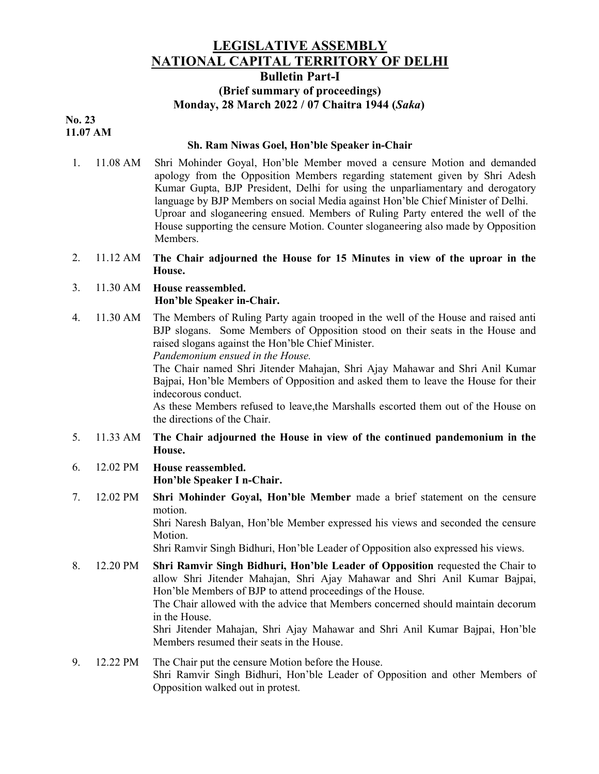## LEGISLATIVE ASSEMBLY NATIONAL CAPITAL TERRITORY OF DELHI Bulletin Part-I

# (Brief summary of proceedings) Monday, 28 March 2022 / 07 Chaitra 1944 (Saka)

#### No. 23 11.07 AM

#### Sh. Ram Niwas Goel, Hon'ble Speaker in-Chair

- 1. 11.08 AM Shri Mohinder Goyal, Hon'ble Member moved a censure Motion and demanded apology from the Opposition Members regarding statement given by Shri Adesh Kumar Gupta, BJP President, Delhi for using the unparliamentary and derogatory language by BJP Members on social Media against Hon'ble Chief Minister of Delhi. Uproar and sloganeering ensued. Members of Ruling Party entered the well of the House supporting the censure Motion. Counter sloganeering also made by Opposition Members.
- 2. 11.12 AM The Chair adjourned the House for 15 Minutes in view of the uproar in the House.

#### 3. 11.30 AM House reassembled. Hon'ble Speaker in-Chair.

4. 11.30 AM The Members of Ruling Party again trooped in the well of the House and raised anti BJP slogans. Some Members of Opposition stood on their seats in the House and raised slogans against the Hon'ble Chief Minister.

Pandemonium ensued in the House.

The Chair named Shri Jitender Mahajan, Shri Ajay Mahawar and Shri Anil Kumar Bajpai, Hon'ble Members of Opposition and asked them to leave the House for their indecorous conduct.

As these Members refused to leave,the Marshalls escorted them out of the House on the directions of the Chair.

#### 5. 11.33 AM The Chair adjourned the House in view of the continued pandemonium in the House.

- 6. 12.02 PM House reassembled. Hon'ble Speaker I n-Chair.
- 7. 12.02 PM Shri Mohinder Goyal, Hon'ble Member made a brief statement on the censure motion.

Shri Naresh Balyan, Hon'ble Member expressed his views and seconded the censure Motion.

Shri Ramvir Singh Bidhuri, Hon'ble Leader of Opposition also expressed his views.

8. 12.20 PM Shri Ramvir Singh Bidhuri, Hon'ble Leader of Opposition requested the Chair to allow Shri Jitender Mahajan, Shri Ajay Mahawar and Shri Anil Kumar Bajpai, Hon'ble Members of BJP to attend proceedings of the House. The Chair allowed with the advice that Members concerned should maintain decorum in the House. Shri Jitender Mahajan, Shri Ajay Mahawar and Shri Anil Kumar Bajpai, Hon'ble

Members resumed their seats in the House.

9. 12.22 PM The Chair put the censure Motion before the House. Shri Ramvir Singh Bidhuri, Hon'ble Leader of Opposition and other Members of Opposition walked out in protest.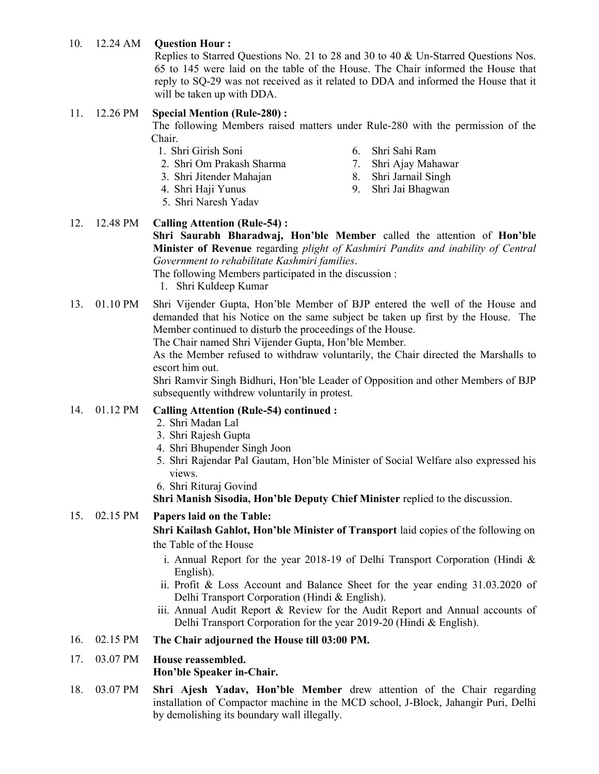## 10. 12.24 AM Question Hour :

Replies to Starred Questions No. 21 to 28 and 30 to 40 & Un-Starred Questions Nos. 65 to 145 were laid on the table of the House. The Chair informed the House that reply to SQ-29 was not received as it related to DDA and informed the House that it will be taken up with DDA.

#### 11. 12.26 PM Special Mention (Rule-280) :

The following Members raised matters under Rule-280 with the permission of the Chair.

- 1. Shri Girish Soni
- 2. Shri Om Prakash Sharma 3. Shri Jitender Mahajan
- 6. Shri Sahi Ram
- 7. Shri Ajay Mahawar

9. Shri Jai Bhagwan

- 8. Shri Jarnail Singh
- 4. Shri Haji Yunus
- 5. Shri Naresh Yadav

### 12. 12.48 PM Calling Attention (Rule-54) :

Shri Saurabh Bharadwaj, Hon'ble Member called the attention of Hon'ble Minister of Revenue regarding plight of Kashmiri Pandits and inability of Central Government to rehabilitate Kashmiri families.

The following Members participated in the discussion :

- 1. Shri Kuldeep Kumar
- 13. 01.10 PM Shri Vijender Gupta, Hon'ble Member of BJP entered the well of the House and demanded that his Notice on the same subject be taken up first by the House. The Member continued to disturb the proceedings of the House.

The Chair named Shri Vijender Gupta, Hon'ble Member.

As the Member refused to withdraw voluntarily, the Chair directed the Marshalls to escort him out.

Shri Ramvir Singh Bidhuri, Hon'ble Leader of Opposition and other Members of BJP subsequently withdrew voluntarily in protest.

#### 14. 01.12 PM Calling Attention (Rule-54) continued :

- 2. Shri Madan Lal
- 3. Shri Rajesh Gupta
- 4. Shri Bhupender Singh Joon
- 5. Shri Rajendar Pal Gautam, Hon'ble Minister of Social Welfare also expressed his views.
- 6. Shri Rituraj Govind

Shri Manish Sisodia, Hon'ble Deputy Chief Minister replied to the discussion.

## 15. 02.15 PM Papers laid on the Table:

Shri Kailash Gahlot, Hon'ble Minister of Transport laid copies of the following on the Table of the House

- i. Annual Report for the year 2018-19 of Delhi Transport Corporation (Hindi & English).
- ii. Profit & Loss Account and Balance Sheet for the year ending 31.03.2020 of Delhi Transport Corporation (Hindi & English).
- iii. Annual Audit Report & Review for the Audit Report and Annual accounts of Delhi Transport Corporation for the year 2019-20 (Hindi & English).

#### 16. 02.15 PM The Chair adjourned the House till 03:00 PM.

## 17. 03.07 PM House reassembled. Hon'ble Speaker in-Chair.

18. 03.07 PM Shri Ajesh Yadav, Hon'ble Member drew attention of the Chair regarding installation of Compactor machine in the MCD school, J-Block, Jahangir Puri, Delhi by demolishing its boundary wall illegally.